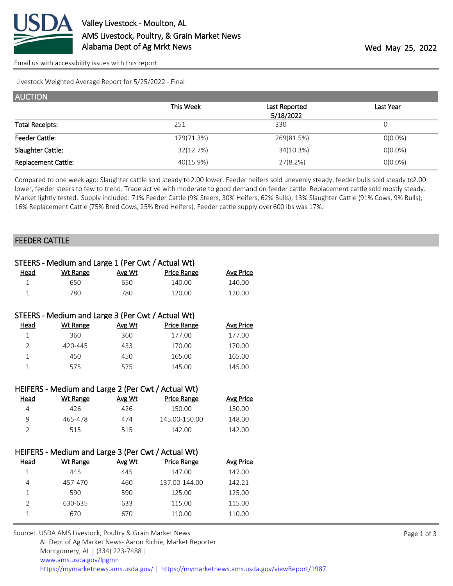

[Email us with accessibility issues with this report.](mailto:mars@ams.usda.gov?subject=508%20issue)

Livestock Weighted Average Report for 5/25/2022 - Final

| <b>AUCTION</b>             |            |               |            |  |  |  |
|----------------------------|------------|---------------|------------|--|--|--|
|                            | This Week  | Last Reported | Last Year  |  |  |  |
|                            |            | 5/18/2022     |            |  |  |  |
| <b>Total Receipts:</b>     | 251        | 330           |            |  |  |  |
| <b>Feeder Cattle:</b>      | 179(71.3%) | 269(81.5%)    | $O(0.0\%)$ |  |  |  |
| Slaughter Cattle:          | 32(12.7%)  | 34(10.3%)     | $O(0.0\%)$ |  |  |  |
| <b>Replacement Cattle:</b> | 40(15.9%)  | 27(8.2%)      | $O(0.0\%)$ |  |  |  |

Compared to one week ago: Slaughter cattle sold steady to 2.00 lower. Feeder heifers sold unevenly steady, feeder bulls sold steady to 2.00 lower, feeder steers to few to trend. Trade active with moderate to good demand on feeder cattle. Replacement cattle sold mostly steady. Market lightly tested. Supply included: 71% Feeder Cattle (9% Steers, 30% Heifers, 62% Bulls); 13% Slaughter Cattle (91% Cows, 9% Bulls); 16% Replacement Cattle (75% Bred Cows, 25% Bred Heifers). Feeder cattle supply over 600 lbs was 17%.

## FEEDER CATTLE

| STEERS - Medium and Large 1 (Per Cwt / Actual Wt)  |                                                    |        |                    |                  |  |  |
|----------------------------------------------------|----------------------------------------------------|--------|--------------------|------------------|--|--|
| <u>Head</u>                                        | <b>Wt Range</b>                                    | Avg Wt | <b>Price Range</b> | <b>Avg Price</b> |  |  |
| $\mathbf{1}$                                       | 650                                                | 650    | 140.00             | 140.00           |  |  |
| $\mathbf{1}$                                       | 780                                                | 780    | 120.00             | 120.00           |  |  |
|                                                    |                                                    |        |                    |                  |  |  |
|                                                    | STEERS - Medium and Large 3 (Per Cwt / Actual Wt)  |        |                    |                  |  |  |
| <u>Head</u>                                        | <b>Wt Range</b>                                    | Avg Wt | <b>Price Range</b> | <b>Avg Price</b> |  |  |
| $\mathbf{1}$                                       | 360                                                | 360    | 177.00             | 177.00           |  |  |
| $\overline{2}$                                     | 420-445                                            | 433    | 170.00             | 170.00           |  |  |
| $\mathbf{1}$                                       | 450                                                | 450    | 165.00             | 165.00           |  |  |
| $\mathbf{1}$                                       | 575                                                | 575    | 145.00             | 145.00           |  |  |
|                                                    |                                                    |        |                    |                  |  |  |
|                                                    | HEIFERS - Medium and Large 2 (Per Cwt / Actual Wt) |        |                    |                  |  |  |
| <u>Head</u>                                        | <b>Wt Range</b>                                    | Avg Wt | <b>Price Range</b> | <b>Avg Price</b> |  |  |
| $\overline{4}$                                     | 426                                                | 426    | 150.00             | 150.00           |  |  |
| 9                                                  | 465-478                                            | 474    | 145.00-150.00      | 148.00           |  |  |
| $\overline{2}$                                     | 515                                                | 515    | 142.00             | 142.00           |  |  |
|                                                    |                                                    |        |                    |                  |  |  |
| HEIFERS - Medium and Large 3 (Per Cwt / Actual Wt) |                                                    |        |                    |                  |  |  |
| Head                                               | <b>Wt Range</b>                                    | Avg Wt | <b>Price Range</b> | <b>Avg Price</b> |  |  |
| $\mathbf{1}$                                       | 445                                                | 445    | 147.00             | 147.00           |  |  |
| 4                                                  | 457-470                                            | 460    | 137.00-144.00      | 142.21           |  |  |
| $\mathbf 1$                                        | 590                                                | 590    | 125.00             | 125.00           |  |  |
| $\overline{2}$                                     | 630-635                                            | 633    | 115.00             | 115.00           |  |  |
| $\mathbf{1}$                                       | 670                                                | 670    | 110.00             | 110.00           |  |  |
|                                                    |                                                    |        |                    |                  |  |  |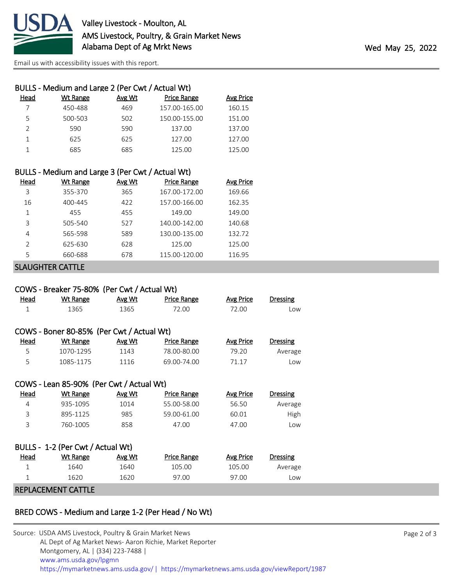

[Email us with accessibility issues with this report.](mailto:mars@ams.usda.gov?subject=508%20issue)

|               | BULLS - Medium and Large 2 (Per Cwt / Actual Wt) |        |                    |                  |
|---------------|--------------------------------------------------|--------|--------------------|------------------|
| Head          | Wt Range                                         | Avg Wt | <b>Price Range</b> | <b>Avg Price</b> |
|               | 450-488                                          | 469    | 157.00-165.00      | 160.15           |
| 5             | 500-503                                          | 502    | 150.00-155.00      | 151.00           |
| $\mathcal{P}$ | 590                                              | 590    | 137.00             | 137.00           |
|               | 625                                              | 625    | 127.00             | 127.00           |
|               | 685                                              | 685    | 125.00             | 125.00           |
|               |                                                  |        |                    |                  |

## BULLS - Medium and Large 3 (Per Cwt / Actual Wt)

| Head          | Wt Range | Avg Wt | <b>Price Range</b> | Avg Price |
|---------------|----------|--------|--------------------|-----------|
| 3             | 355-370  | 365    | 167.00-172.00      | 169.66    |
| 16            | 400-445  | 422    | 157.00-166.00      | 162.35    |
|               | 455      | 455    | 149.00             | 149.00    |
| 3             | 505-540  | 527    | 140.00-142.00      | 140.68    |
| 4             | 565-598  | 589    | 130.00-135.00      | 132.72    |
| $\mathcal{P}$ | 625-630  | 628    | 125.00             | 125.00    |
| 5             | 660-688  | 678    | 115.00-120.00      | 116.95    |
|               |          |        |                    |           |

## SLAUGHTER CATTLE

|                | COWS - Breaker 75-80% (Per Cwt / Actual Wt) |        |                    |                  |                 |  |
|----------------|---------------------------------------------|--------|--------------------|------------------|-----------------|--|
| <u>Head</u>    | <b>Wt Range</b>                             | Avg Wt | Price Range        | Avg Price        | <b>Dressing</b> |  |
| $\mathbf 1$    | 1365                                        | 1365   | 72.00              | 72.00            | Low             |  |
|                |                                             |        |                    |                  |                 |  |
|                | COWS - Boner 80-85% (Per Cwt / Actual Wt)   |        |                    |                  |                 |  |
| Head           | <b>Wt Range</b>                             | Avg Wt | <b>Price Range</b> | <b>Avg Price</b> | <b>Dressing</b> |  |
| 5              | 1070-1295                                   | 1143   | 78.00-80.00        | 79.20            | Average         |  |
| 5              | 1085-1175                                   | 1116   | 69.00-74.00        | 71.17            | Low             |  |
|                |                                             |        |                    |                  |                 |  |
|                | COWS - Lean 85-90% (Per Cwt / Actual Wt)    |        |                    |                  |                 |  |
| Head           | <b>Wt Range</b>                             | Avg Wt | <b>Price Range</b> | <b>Avg Price</b> | Dressing        |  |
| $\overline{4}$ | 935-1095                                    | 1014   | 55.00-58.00        | 56.50            | Average         |  |
| 3              | 895-1125                                    | 985    | 59.00-61.00        | 60.01            | High            |  |
| 3              | 760-1005                                    | 858    | 47.00              | 47.00            | l ow            |  |
|                |                                             |        |                    |                  |                 |  |
|                | BULLS - 1-2 (Per Cwt / Actual Wt)           |        |                    |                  |                 |  |
| Head           | <u>Wt Range</u>                             | Avg Wt | <b>Price Range</b> | <b>Avg Price</b> | <b>Dressing</b> |  |
| $\mathbf{1}$   | 1640                                        | 1640   | 105.00             | 105.00           | Average         |  |
| $\mathbf{1}$   | 1620                                        | 1620   | 97.00              | 97.00            | Low             |  |
|                | REPLACEMENT CATTLE                          |        |                    |                  |                 |  |

## BRED COWS - Medium and Large 1-2 (Per Head / No Wt)

| Source: USDA AMS Livestock, Poultry & Grain Market News                                |
|----------------------------------------------------------------------------------------|
| AL Dept of Ag Market News-Aaron Richie, Market Reporter                                |
| Montgomery, AL   (334) 223-7488                                                        |
| www.ams.usda.gov/lpgmn                                                                 |
| https://mymarketnews.ams.usda.gov/   https://mymarketnews.ams.usda.gov/viewReport/1987 |